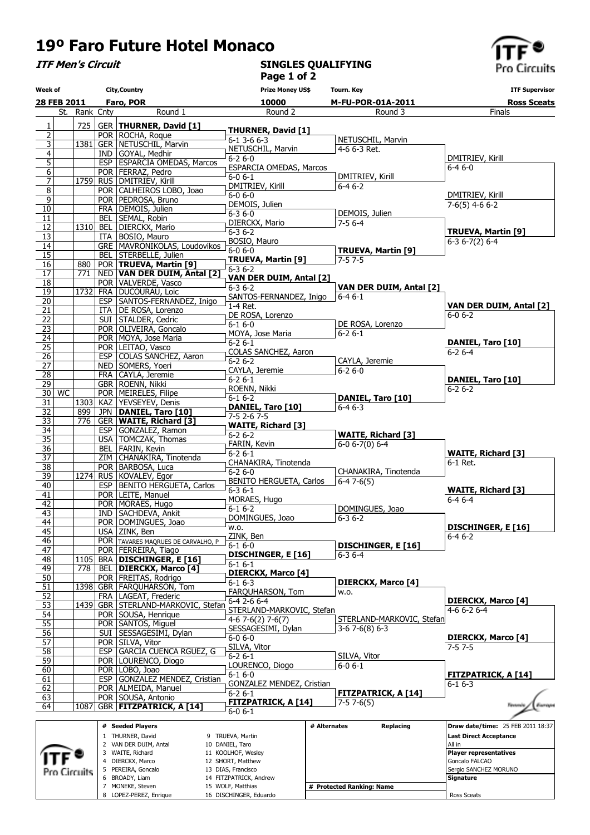## 19º Faro Future Hotel Monaco

7 MONEKE, Steven 8 LOPEZ-PEREZ, Enrique 15 WOLF, Matthias 16 DISCHINGER, Eduardo

ITF Men's Circuit

## SINGLES QUALIFYING Page 1 of 2



Ross Sceats

| Week of                                     |    |               |            | <b>City, Country</b>                                    | <b>Prize Money US\$</b>                         |              | Tourn. Key                         | <b>ITF Supervisor</b>                      |
|---------------------------------------------|----|---------------|------------|---------------------------------------------------------|-------------------------------------------------|--------------|------------------------------------|--------------------------------------------|
| 28 FEB 2011                                 |    | Faro, POR     |            |                                                         | 10000                                           |              | M-FU-POR-01A-2011                  | <b>Ross Sceats</b>                         |
|                                             |    | St. Rank Cnty |            | Round 1                                                 | Round 2                                         |              | Round 3                            | Finals                                     |
| $\overline{1}$                              |    | 725           |            | GER   THURNER, David [1]                                | <b>THURNER, David [1]</b>                       |              |                                    |                                            |
| $\overline{2}$<br>$\overline{\overline{3}}$ |    |               |            | POR ROCHA, Roque<br>1381 GER NETUSCHIL, Marvin          | $6 - 1$ 3 - 6 $6 - 3$                           |              | NETUSCHIL, Marvin                  |                                            |
| $\overline{4}$                              |    |               |            | IND GOYAL, Medhir                                       | NETUSCHIL, Marvin                               |              | 4-6 6-3 Ret.                       |                                            |
| $\overline{5}$                              |    |               |            | ESP ESPARCIA OMEDAS, Marcos                             | $6 - 26 - 0$<br>ESPARCIA OMEDAS, Marcos         |              |                                    | DMITRIEV, Kirill<br>$6 - 46 - 0$           |
| $6 \overline{}$                             |    |               |            | POR   FERRAZ, Pedro                                     | $6 - 0 6 - 1$                                   |              | DMITRIEV, Kirill                   |                                            |
| $\overline{7}$<br>$\overline{8}$            |    |               |            | 1759 RUS DMITRIEV, Kirill<br>POR   CALHEIROS LOBO, Joao | DMITRIEV, Kirill                                |              | $6-46-2$                           |                                            |
| $\overline{9}$                              |    |               |            | POR PEDROSA, Bruno                                      | $6 - 06 - 0$                                    |              |                                    | DMITRIEV, Kirill                           |
| 10                                          |    |               |            | FRA   DEMOIS, Julien                                    | DEMOIS, Julien<br>$6 - 36 - 0$                  |              | DEMOIS, Julien                     | $7-6(5)$ 4-6 6-2                           |
| 11                                          |    |               |            | BEL SEMAL, Robin                                        | DIERCKX, Mario                                  |              | $7 - 56 - 4$                       |                                            |
| $\overline{12}$<br>13                       |    |               |            | 1310 BEL DIERCKX, Mario<br>ITA   BOSIO, Mauro           | $6 - 36 - 2$                                    |              |                                    | <b>TRUEVA, Martin [9]</b>                  |
| $\overline{14}$                             |    |               |            | GRE   MAVRONIKOLAS, Loudovikos                          | BOSIO, Mauro                                    |              |                                    | $6-36-7(2)6-4$                             |
| $\overline{15}$                             |    |               |            | BEL   STERBELLE, Julien                                 | $6 - 0 6 - 0$<br>TRUEVA, Martin [9]             |              | TRUEVA, Martin [9]<br>$7 - 57 - 5$ |                                            |
| 16                                          |    | 880           |            | POR   TRUEVA, Martin [9]                                | $6 - 36 - 2$                                    |              |                                    |                                            |
| $\overline{17}$<br>$\overline{18}$          |    | 771           |            | NED VAN DER DUIM, Antal [2]<br>POR   VALVERDE, Vasco    | VAN DER DUIM, Antal [2]                         |              |                                    |                                            |
| $\overline{19}$                             |    |               |            | 1732 FRA DUCOURAU, Loic                                 | $6 - 36 - 2$                                    |              | VAN DER DUIM, Antal [2]            |                                            |
| $\overline{20}$                             |    |               |            | ESP   SANTOS-FERNANDEZ, Inigo                           | SANTOS-FERNANDEZ, Inigo<br>1-4 Ret.             |              | $6 - 46 - 1$                       | VAN DER DUIM, Antal [2]                    |
| $\overline{21}$                             |    |               |            | ITA   DE ROSA, Lorenzo                                  | DE ROSA, Lorenzo                                |              |                                    | $6 - 06 - 2$                               |
| $\overline{22}$<br>$\overline{23}$          |    |               |            | SUI STALDER, Cedric<br>POR   OLIVEIRA, Goncalo          | $6 - 16 - 0$                                    |              | DE ROSA, Lorenzo                   |                                            |
| $\overline{24}$                             |    |               |            | POR   MOYA, Jose Maria                                  | MOYA, Jose Maria                                |              | $6 - 26 - 1$                       |                                            |
| $\overline{25}$                             |    |               |            | POR LEITAO, Vasco                                       | $6 - 26 - 1$<br>COLAS SANCHEZ, Aaron            |              |                                    | DANIEL, Taro [10]<br>$6 - 26 - 4$          |
| $\overline{26}$                             |    |               |            | ESP COLAS SANCHEZ, Aaron                                | $6 - 26 - 2$                                    |              | CAYLA, Jeremie                     |                                            |
| $\overline{27}$<br>$\overline{28}$          |    |               |            | NED SOMERS, Yoeri<br>FRA CAYLA, Jeremie                 | CAYLA, Jeremie                                  |              | $6 - 26 - 0$                       |                                            |
| $\overline{29}$                             |    |               |            | GBR ROENN, Nikki                                        | $6 - 26 - 1$                                    |              |                                    | DANIEL, Taro [10]                          |
| 30                                          | WC |               |            | POR   MEIRELES, Filipe                                  | ROENN, Nikki                                    |              |                                    | $6 - 26 - 2$                               |
| 31                                          |    |               |            | 1303 KAZ YEVSEYEV, Denis                                | $6 - 16 - 2$<br>DANIEL, Taro [10]               |              | DANIEL, Taro [10]<br>$6 - 46 - 3$  |                                            |
| 32                                          |    | 899<br>776    |            | JPN   DANIEL, Taro [10]                                 | $7-52-67-5$                                     |              |                                    |                                            |
| 33<br>$\overline{34}$                       |    |               |            | <b>GER WAITE, Richard [3]</b><br>ESP GONZALEZ, Ramon    | <b>WAITE, Richard [3]</b>                       |              |                                    |                                            |
| $\overline{35}$                             |    |               |            | USA   TOMCZAK, Thomas                                   | $6 - 26 - 2$                                    |              | <b>WAITE, Richard [3]</b>          |                                            |
| $\overline{36}$                             |    |               |            | BEL   FARIN, Kevin                                      | FARIN, Kevin<br>$6 - 26 - 1$                    |              | $6 - 0 6 - 7(0) 6 - 4$             | <b>WAITE, Richard [3]</b>                  |
| $\overline{37}$<br>$\overline{38}$          |    |               |            | ZIM CHANAKIRA, Tinotenda<br>POR   BARBOSA, Luca         | CHANAKIRA, Tinotenda                            |              |                                    | 6-1 Ret.                                   |
| $\overline{39}$                             |    |               |            | 1274 RUS KOVALEV, Egor                                  | $6 - 26 - 0$                                    |              | CHANAKIRA, Tinotenda               |                                            |
| 40                                          |    |               |            | ESP   BENITO HERGUETA, Carlos                           | <b>BENITO HERGUETA, Carlos</b><br>$6 - 36 - 1$  |              | $6 - 47 - 6(5)$                    | <b>WAITE, Richard [3]</b>                  |
| 41                                          |    |               |            | POR LEITE, Manuel                                       | MORAES, Hugo                                    |              |                                    | $6 - 46 - 4$                               |
| $\overline{42}$<br>$\overline{43}$          |    |               |            | POR   MORAES, Hugo<br>IND   SACHDEVA, Ankit             | $6-16-2$                                        |              | DOMINGUES, Joao                    |                                            |
| 44                                          |    |               |            | POR   DOMINGUES, Joao                                   | DOMINGUES, Joao                                 |              | $6 - 36 - 2$                       |                                            |
| 45                                          |    |               |            | USA ZINK, Ben                                           | w.o.                                            |              |                                    | DISCHINGER, E [16]                         |
| 46                                          |    |               |            | POR TAVARES MAQRUES DE CARVALHO, P                      | ZINK, Ben<br>$6 - 16 - 0$                       |              | DISCHINGER, E [16]                 | $6 - 46 - 2$                               |
| 47<br>48                                    |    | 1105          |            | POR   FERREIRA, Tiago<br>BRA DISCHINGER, E [16]         | <b>DISCHINGER, E [16]</b>                       |              | $6 - 36 - 4$                       |                                            |
| 49                                          |    | 778           | BEL        | <b>DIERCKX, Marco [4]</b>                               | 6-1 6-1                                         |              |                                    |                                            |
| 50                                          |    |               |            | POR   FREITAS, Rodrigo                                  | <b>DIERCKX, Marco [4]</b><br>$6 - 16 - 3$       |              | <b>DIERCKX, Marco [4]</b>          |                                            |
| 51                                          |    |               |            | 1398 GBR   FARQUHARSON, Tom                             | FARQUHARSON, Tom                                |              | w.o.                               |                                            |
| 52<br>53                                    |    |               | <b>FRA</b> | LAGEAT, Frederic<br>1439 GBR STERLAND-MARKOVIC, Stefan  | 6-4 2-6 6-4                                     |              |                                    | <b>DIERCKX, Marco [4]</b>                  |
| 54                                          |    |               |            | POR SOUSA, Henrique                                     | STERLAND-MARKOVIC, Stefan                       |              |                                    | $4-66-26-4$                                |
| $\overline{55}$                             |    |               |            | POR SANTOS, Miguel                                      | $4-6$ 7 $-6(2)$ 7 $-6(7)$<br>SESSAGESIMI, Dylan |              | STERLAND-MARKOVIC, Stefan          |                                            |
| $\overline{56}$                             |    |               | SUI        | SESSAGESIMI, Dylan                                      | $6 - 06 - 0$                                    |              | $3-67-6(8)6-3$                     | DIERCKX, Marco [4]                         |
| $\overline{57}$                             |    |               |            | POR SILVA, Vitor<br><b>GARCIA CUENCA RGUEZ, G</b>       | SILVA, Vitor                                    |              |                                    | $7 - 57 - 5$                               |
| 58<br>59                                    |    |               | <b>ESP</b> | POR   LOURENCO, Diogo                                   | $6 - 26 - 1$                                    |              | SILVA, Vitor                       |                                            |
| 60                                          |    |               |            | POR   LOBO, Joao                                        | LOURENCO, Diogo                                 |              | $6 - 0 6 - 1$                      |                                            |
| 61                                          |    |               | <b>ESP</b> | GONZALEZ MENDEZ, Cristian                               | $6 - 16 - 0$<br>GONZALEZ MENDEZ, Cristian       |              |                                    | <b>FITZPATRICK, A [14]</b><br>$6 - 16 - 3$ |
| 62<br>63                                    |    |               |            | POR   ALMEIDA, Manuel<br>POR SOUSA, Antonio             | $6 - 26 - 1$                                    |              | <b>FITZPATRICK, A [14]</b>         |                                            |
| 64                                          |    | 1087          |            | GBR   FITZPATRICK, A [14]                               | <b>FITZPATRICK, A [14]</b>                      |              | $7-57-6(5)$                        | Toyany                                     |
|                                             |    |               |            |                                                         | $6 - 0 6 - 1$                                   |              |                                    |                                            |
|                                             |    |               |            | # Seeded Players                                        |                                                 | # Alternates | Replacing                          | Draw date/time: 25 FEB 2011 18:37          |
|                                             |    |               |            | 1 THURNER, David<br>2 VAN DER DUIM, Antal               | 9 TRUEVA, Martin<br>10 DANIEL, Taro             |              |                                    | <b>Last Direct Acceptance</b><br>All in    |
|                                             |    |               |            | 3 WAITE, Richard                                        | 11 KOOLHOF, Wesley                              |              |                                    | <b>Player representatives</b>              |
|                                             |    |               |            | 4 DIERCKX, Marco<br>5 PEREIRA, Goncalo                  | 12 SHORT, Matthew<br>13 DIAS, Francisco         |              |                                    | Goncalo FALCAO<br>Sergio SANCHEZ MORUNO    |
|                                             |    | Pro Circuits  |            | 6 BROADY, Liam                                          | 14 FITZPATRICK, Andrew                          |              |                                    | Signature                                  |
|                                             |    |               |            | 7 MONEKE, Steven                                        | 15 WOLF, Matthias                               |              | # Protected Ranking: Name          |                                            |